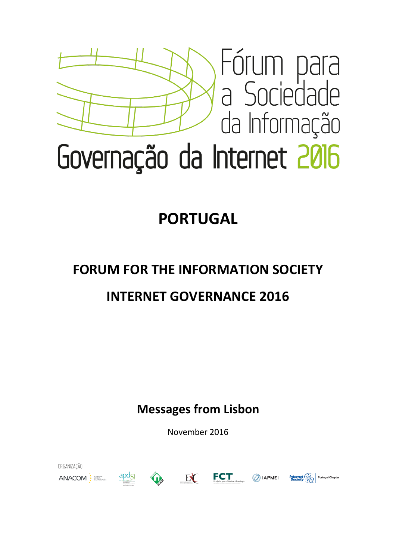

## **PORTUGAL**

## **FORUM FOR THE INFORMATION SOCIETY**

## **INTERNET GOVERNANCE 2016**

**Messages from Lisbon**

November 2016

ORGANIZACÃO











**Portugal Chapter**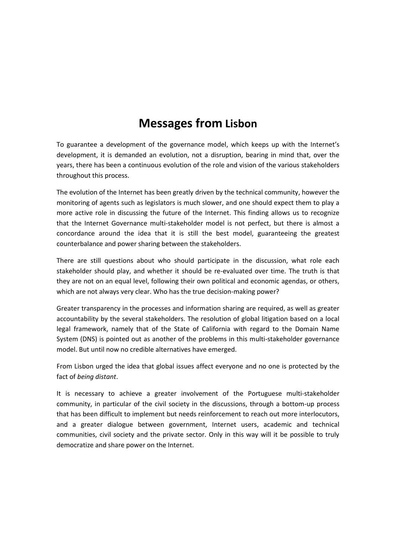### **Messages from Lisbon**

To guarantee a development of the governance model, which keeps up with the Internet's development, it is demanded an evolution, not a disruption, bearing in mind that, over the years, there has been a continuous evolution of the role and vision of the various stakeholders throughout this process.

The evolution of the Internet has been greatly driven by the technical community, however the monitoring of agents such as legislators is much slower, and one should expect them to play a more active role in discussing the future of the Internet. This finding allows us to recognize that the Internet Governance multi-stakeholder model is not perfect, but there is almost a concordance around the idea that it is still the best model, guaranteeing the greatest counterbalance and power sharing between the stakeholders.

There are still questions about who should participate in the discussion, what role each stakeholder should play, and whether it should be re-evaluated over time. The truth is that they are not on an equal level, following their own political and economic agendas, or others, which are not always very clear. Who has the true decision-making power?

Greater transparency in the processes and information sharing are required, as well as greater accountability by the several stakeholders. The resolution of global litigation based on a local legal framework, namely that of the State of California with regard to the Domain Name System (DNS) is pointed out as another of the problems in this multi-stakeholder governance model. But until now no credible alternatives have emerged.

From Lisbon urged the idea that global issues affect everyone and no one is protected by the fact of *being distant*.

It is necessary to achieve a greater involvement of the Portuguese multi-stakeholder community, in particular of the civil society in the discussions, through a bottom-up process that has been difficult to implement but needs reinforcement to reach out more interlocutors, and a greater dialogue between government, Internet users, academic and technical communities, civil society and the private sector. Only in this way will it be possible to truly democratize and share power on the Internet.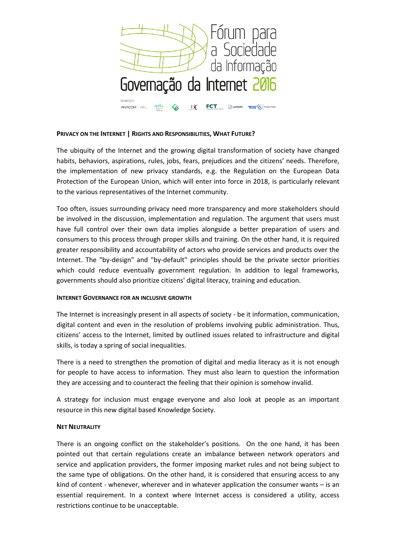

#### **PRIVACY ON THE INTERNET | RIGHTS AND RESPONSIBILITIES, WHAT FUTURE?**

The ubiquity of the Internet and the growing digital transformation of society have changed habits, behaviors, aspirations, rules, jobs, fears, prejudices and the citizens' needs. Therefore, the implementation of new privacy standards, e.g. the Regulation on the European Data Protection of the European Union, which will enter into force in 2018, is particularly relevant to the various representatives of the Internet community.

Too often, issues surrounding privacy need more transparency and more stakeholders should be involved in the discussion, implementation and regulation. The argument that users must have full control over their own data implies alongside a better preparation of users and consumers to this process through proper skills and training. On the other hand, it is required greater responsibility and accountability of actors who provide services and products over the Internet. The "by-design" and "by-default" principles should be the private sector priorities which could reduce eventually government regulation. In addition to legal frameworks, governments should also prioritize citizens' digital literacy, training and education.

#### **INTERNET GOVERNANCE FOR AN INCLUSIVE GROWTH**

The Internet is increasingly present in all aspects of society - be it information, communication, digital content and even in the resolution of problems involving public administration. Thus, citizens' access to the Internet, limited by outlined issues related to infrastructure and digital skills, is today a spring of social inequalities.

There is a need to strengthen the promotion of digital and media literacy as it is not enough for people to have access to information. They must also learn to question the information they are accessing and to counteract the feeling that their opinion is somehow invalid.

A strategy for inclusion must engage everyone and also look at people as an important resource in this new digital based Knowledge Society.

#### **NET NEUTRALITY**

There is an ongoing conflict on the stakeholder's positions. On the one hand, it has been pointed out that certain regulations create an imbalance between network operators and service and application providers, the former imposing market rules and not being subject to the same type of obligations. On the other hand, it is considered that ensuring access to any kind of content - whenever, wherever and in whatever application the consumer wants – is an essential requirement. In a context where Internet access is considered a utility, access restrictions continue to be unacceptable.